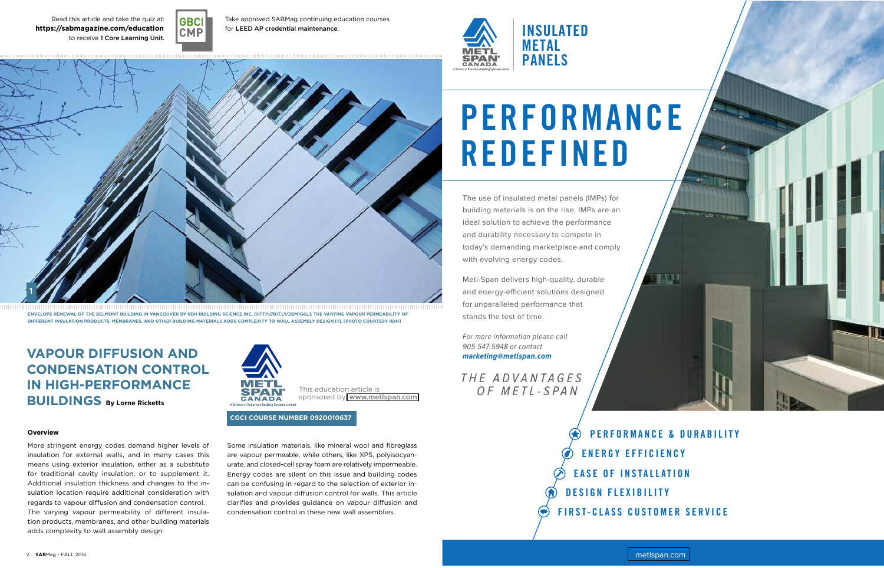

Read this article and take the quiz at: WWW.SABMAGAZINE-EDUCATION.INFO **https://sabmagazine.com/education**to receive 1 Core Learning Unit.



Take approved SABMag continuing education courses for LEED AP credential maintenance.

### **Overview**

## **VaPOUR DIFFUsION aND CONDENsaTION CONTROL IN HIGH-PERFORMaNCE bUILDINGs by Lorne Ricketts**

# **1**

This education article is sponsored by: <www.metlspan.com>

**ENVELOPE RENEwaL OF THE bELMONT bUILDING IN VaNCOUVER by RDH bUILDING sCIENCE INC. [HTTP://bIT.Ly/2bM1G6L]. THE VaRyING VaPOUR PERMEabILITy OF DIFFERENT INsULaTION PRODUCTs, MEMbRaNEs, aND OTHER bUILDING MaTERIaLs aDDs COMPLExITy TO waLL assEMbLy DEsIGN [1]. [PHOTO COURTEsy RDH]** 

More stringent energy codes demand higher levels of insulation for external walls, and in many cases this means using exterior insulation, either as a substitute for traditional cavity insulation, or to supplement it. Additional insulation thickness and changes to the insulation location require additional consideration with regards to vapour diffusion and condensation control. The varying vapour permeability of different insulation products, membranes, and other building materials adds complexity to wall assembly design.



Some insulation materials, like mineral wool and fibreglass are vapour permeable, while others, like XPS, polyisocyanurate, and closed-cell spray foam are relatively impermeable. Energy codes are silent on this issue and building codes can be confusing in regard to the selection of exterior insulation and vapour diffusion control for walls. This article clarifies and provides guidance on vapour diffusion and condensation control in these new wall assemblies.

### **CGCI COURsE NUMbER 0920010637**

# PERFORMANCE REDEFINED

**P ERF O R M ANCE & DURA B ILIT Y**  $\left( \bigstar \right)$  **E N E R GY EFF I C I ENC Y EASE OF INSTALLATION DES I G N FLEX I BILIT Y FI R S T- C LASS C U STO M ER SERVIC E**

The use of insulated metal panels (IMPs) for building materials is on the rise. IMPs are an ideal solution to achieve the performance and durability necessary to compete in today's demanding marketplace and comply with evolving energy codes.

Metl-Span delivers high-quality, durable and energy-efficient solutions designed for unparalleled performance that stands the test of time.

For more information please call 905.547.5948 or contact **marketing@metlspan.com** 

THE ADVANTAGES OF METL-SPAN

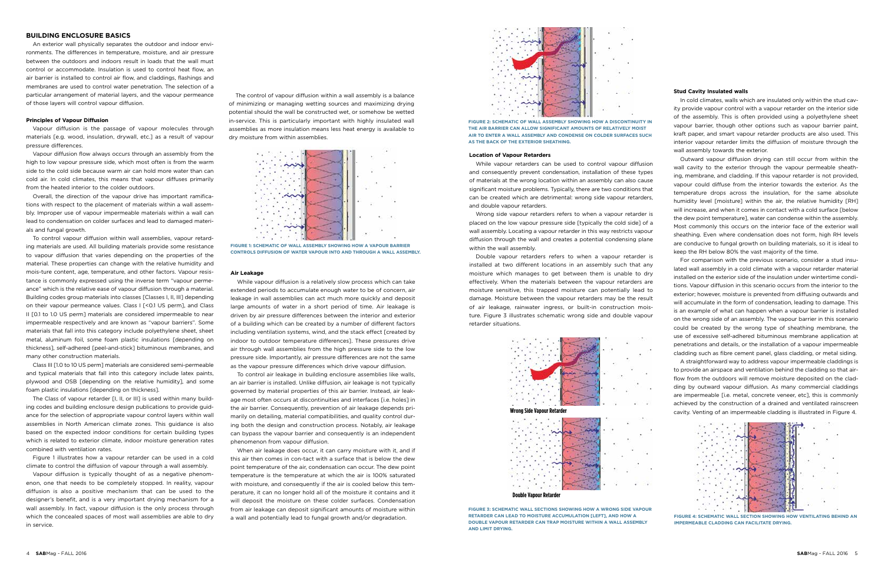### **Building Enclosure Basics**

An exterior wall physically separates the outdoor and indoor environments. The differences in temperature, moisture, and air pressure between the outdoors and indoors result in loads that the wall must control or accommodate. Insulation is used to control heat flow, an air barrier is installed to control air flow, and claddings, flashings and membranes are used to control water penetration. The selection of a particular arrangement of material layers, and the vapour permeance of those layers will control vapour diffusion.

### **Principles of Vapour Diffusion**

Vapour diffusion is the passage of vapour molecules through materials [e.g. wood, insulation, drywall, etc.] as a result of vapour pressure differences.

Vapour diffusion flow always occurs through an assembly from the high to low vapour pressure side, which most often is from the warm side to the cold side because warm air can hold more water than can cold air. In cold climates, this means that vapour diffuses primarily from the heated interior to the colder outdoors.

Overall, the direction of the vapour drive has important ramifications with respect to the placement of materials within a wall assembly. Improper use of vapour impermeable materials within a wall can lead to condensation on colder surfaces and lead to damaged materials and fungal growth.

To control vapour diffusion within wall assemblies, vapour retarding materials are used. All building materials provide some resistance to vapour diffusion that varies depending on the properties of the material. These properties can change with the relative humidity and mois-ture content, age, temperature, and other factors. Vapour resistance is commonly expressed using the inverse term "vapour permeance" which is the relative ease of vapour diffusion through a material. Building codes group materials into classes [Classes I, II, III] depending on their vapour permeance values. Class I [<0.1 US perm], and Class II [0.1 to 1.0 US perm] materials are considered impermeable to near impermeable respectively and are known as "vapour barriers". Some materials that fall into this category include polyethylene sheet, sheet metal, aluminum foil, some foam plastic insulations [depending on thickness], self-adhered [peel-and-stick] bituminous membranes, and many other construction materials.

Class III [1.0 to 10 US perm] materials are considered semi-permeable and typical materials that fall into this category include latex paints, plywood and OSB [depending on the relative humidity], and some foam plastic insulations [depending on thickness].

> When air leakage does occur, it can carry moisture with it, and if this air then comes in con-tact with a surface that is below the dew point temperature of the air, condensation can occur. The dew point temperature is the temperature at which the air is 100% saturated with moisture, and consequently if the air is cooled below this temperature, it can no longer hold all of the moisture it contains and it will deposit the moisture on these colder surfaces. Condensation from air leakage can deposit significant amounts of moisture within a wall and potentially lead to fungal growth and/or degradation. **FIGURE ALL SECTION SHOW ALL SECTION SHOWING HOW VENTILATING BEHIND AN**

The Class of vapour retarder [I, II, or III] is used within many building codes and building enclosure design publications to provide guidance for the selection of appropriate vapour control layers within wall assemblies in North American climate zones. This guidance is also based on the expected indoor conditions for certain building types which is related to exterior climate, indoor moisture generation rates combined with ventilation rates.

Figure 1 illustrates how a vapour retarder can be used in a cold climate to control the diffusion of vapour through a wall assembly.

Vapour diffusion is typically thought of as a negative phenomenon, one that needs to be completely stopped. In reality, vapour diffusion is also a positive mechanism that can be used to the designer's benefit, and is a very important drying mechanism for a wall assembly. In fact, vapour diffusion is the only process through which the concealed spaces of most wall assemblies are able to dry in service.

The control of vapour diffusion within a wall assembly is a balance of minimizing or managing wetting sources and maximizing drying potential should the wall be constructed wet, or somehow be wetted in-service. This is particularly important with highly insulated wall assemblies as more insulation means less heat energy is available to dry moisture from within assemblies.



**Figure 1: Schematic of wall assembly showing how a vapour barrier controls diffusion of water vapour into and through a wall assembly.** 

### **Air Leakage**

While vapour diffusion is a relatively slow process which can take extended periods to accumulate enough water to be of concern, air leakage in wall assemblies can act much more quickly and deposit large amounts of water in a short period of time. Air leakage is driven by air pressure differences between the interior and exterior of a building which can be created by a number of different factors including ventilation systems, wind, and the stack effect [created by indoor to outdoor temperature differences]. These pressures drive air through wall assemblies from the high pressure side to the low pressure side. Importantly, air pressure differences are not the same as the vapour pressure differences which drive vapour diffusion.

To control air leakage in building enclosure assemblies like walls, an air barrier is installed. Unlike diffusion, air leakage is not typically governed by material properties of this air barrier. Instead, air leakage most often occurs at discontinuities and interfaces [i.e. holes] in the air barrier. Consequently, prevention of air leakage depends primarily on detailing, material compatibilities, and quality control during both the design and construction process. Notably, air leakage can bypass the vapour barrier and consequently is an independent phenomenon from vapour diffusion.



**impermeable cladding can facilitate drying.**

### **Stud Cavity Insulated walls**

In cold climates, walls which are insulated only within the stud cavity provide vapour control with a vapour retarder on the interior side of the assembly. This is often provided using a polyethylene sheet vapour barrier, though other options such as vapour barrier paint, kraft paper, and smart vapour retarder products are also used. This interior vapour retarder limits the diffusion of moisture through the wall assembly towards the exterior.

Outward vapour diffusion drying can still occur from within the wall cavity to the exterior through the vapour permeable sheathing, membrane, and cladding. If this vapour retarder is not provided, vapour could diffuse from the interior towards the exterior. As the temperature drops across the insulation, for the same absolute humidity level [moisture] within the air, the relative humidity [RH] will increase, and when it comes in contact with a cold surface [below the dew point temperature], water can condense within the assembly. Most commonly this occurs on the interior face of the exterior wall sheathing. Even where condensation does not form, high RH levels are conducive to fungal growth on building materials, so it is ideal to keep the RH below 80% the vast majority of the time.

For comparison with the previous scenario, consider a stud insulated wall assembly in a cold climate with a vapour retarder material installed on the exterior side of the insulation under wintertime conditions. Vapour diffusion in this scenario occurs from the interior to the exterior; however, moisture is prevented from diffusing outwards and will accumulate in the form of condensation, leading to damage. This is an example of what can happen when a vapour barrier is installed on the wrong side of an assembly. The vapour barrier in this scenario could be created by the wrong type of sheathing membrane, the use of excessive self-adhered bituminous membrane application at penetrations and details, or the installation of a vapour impermeable cladding such as fibre cement panel, glass cladding, or metal siding.

A straightforward way to address vapour impermeable claddings is to provide an airspace and ventilation behind the cladding so that airflow from the outdoors will remove moisture deposited on the cladding by outward vapour diffusion. As many commercial claddings are impermeable [i.e. metal, concrete veneer, etc], this is commonly achieved by the construction of a drained and ventilated rainscreen cavity. Venting of an impermeable cladding is illustrated in Figure 4.



**Figure 2: Schematic of wall assembly showing how a discontinuity in the air barrier can allow significant amounts of relatively moist air to enter a wall assembly and condense on colder surfaces such as the back of the exterior sheathing.**

### **Location of Vapour Retarders**

While vapour retarders can be used to control vapour diffusion and consequently prevent condensation, installation of these types of materials at the wrong location within an assembly can also cause significant moisture problems. Typically, there are two conditions that can be created which are detrimental: wrong side vapour retarders, and double vapour retarders.

Wrong side vapour retarders refers to when a vapour retarder is placed on the low vapour pressure side [typically the cold side] of a wall assembly. Locating a vapour retarder in this way restricts vapour diffusion through the wall and creates a potential condensing plane within the wall assembly.

Double vapour retarders refers to when a vapour retarder is installed at two different locations in an assembly such that any moisture which manages to get between them is unable to dry effectively. When the materials between the vapour retarders are moisture sensitive, this trapped moisture can potentially lead to damage. Moisture between the vapour retarders may be the result of air leakage, rainwater ingress, or built-in construction moisture. Figure 3 illustrates schematic wrong side and double vapour retarder situations.



**Wrong Side Vapour Retarder**



**Double Vapour Retarder**

**Figure 3: Schematic wall sections showing how a wrong side vapour RETARDER CAN LEAD TO MOISTURE ACCUMULATION ILEETI, AND HOW A double vapour retarder can trap moisture within a wall assembly and limit drying.**